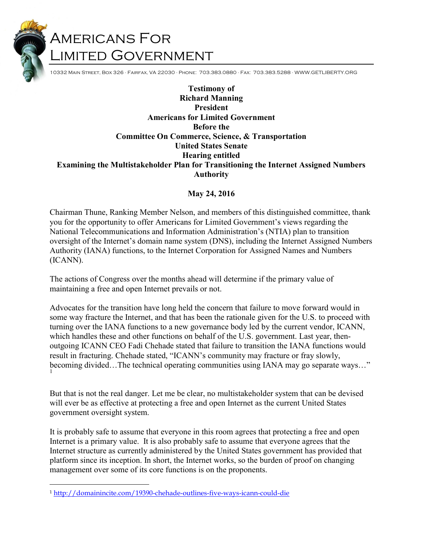# Americans For Limited Government

10332 Main Street, Box 326 ∙ Fairfax, VA 22030 ∙ Phone: 703.383.0880 ∙ Fax: 703.383.5288 ∙ WWW.GETLIBERTY.ORG

Testimony of Richard Manning President Americans for Limited Government Before the Committee On Commerce, Science, & Transportation United States Senate Hearing entitled Examining the Multistakeholder Plan for Transitioning the Internet Assigned Numbers Authority

#### May 24, 2016

Chairman Thune, Ranking Member Nelson, and members of this distinguished committee, thank you for the opportunity to offer Americans for Limited Government's views regarding the National Telecommunications and Information Administration's (NTIA) plan to transition oversight of the Internet's domain name system (DNS), including the Internet Assigned Numbers Authority (IANA) functions, to the Internet Corporation for Assigned Names and Numbers (ICANN).

The actions of Congress over the months ahead will determine if the primary value of maintaining a free and open Internet prevails or not.

Advocates for the transition have long held the concern that failure to move forward would in some way fracture the Internet, and that has been the rationale given for the U.S. to proceed with turning over the IANA functions to a new governance body led by the current vendor, ICANN, which handles these and other functions on behalf of the U.S. government. Last year, thenoutgoing ICANN CEO Fadi Chehade stated that failure to transition the IANA functions would result in fracturing. Chehade stated, "ICANN's community may fracture or fray slowly, becoming divided…The technical operating communities using IANA may go separate ways…" 1

But that is not the real danger. Let me be clear, no multistakeholder system that can be devised will ever be as effective at protecting a free and open Internet as the current United States government oversight system.

It is probably safe to assume that everyone in this room agrees that protecting a free and open Internet is a primary value. It is also probably safe to assume that everyone agrees that the Internet structure as currently administered by the United States government has provided that platform since its inception. In short, the Internet works, so the burden of proof on changing management over some of its core functions is on the proponents.

<sup>1</sup> http://domainincite.com/19390-chehade-outlines-five-ways-icann-could-die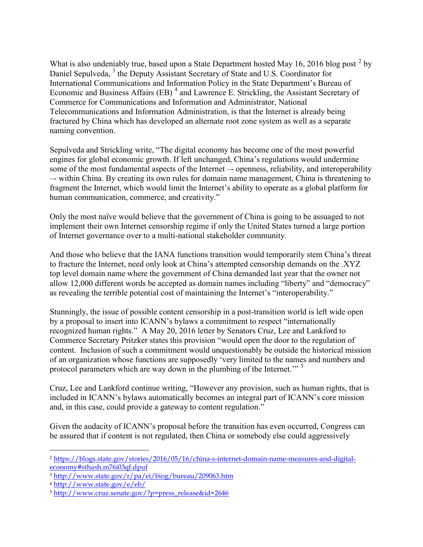What is also undeniably true, based upon a State Department hosted May 16, 2016 blog post  $^2$  by Daniel Sepulveda, <sup>3</sup> the Deputy Assistant Secretary of State and U.S. Coordinator for International Communications and Information Policy in the State Department's Bureau of Economic and Business Affairs (EB)<sup>4</sup> and Lawrence E. Strickling, the Assistant Secretary of Commerce for Communications and Information and Administrator, National Telecommunications and Information Administration, is that the Internet is already being fractured by China which has developed an alternate root zone system as well as a separate naming convention.

Sepulveda and Strickling write, "The digital economy has become one of the most powerful engines for global economic growth. If left unchanged, China's regulations would undermine some of the most fundamental aspects of the Internet –- openness, reliability, and interoperability –- within China. By creating its own rules for domain name management, China is threatening to fragment the Internet, which would limit the Internet's ability to operate as a global platform for human communication, commerce, and creativity."

Only the most naïve would believe that the government of China is going to be assuaged to not implement their own Internet censorship regime if only the United States turned a large portion of Internet governance over to a multi-national stakeholder community.

And those who believe that the IANA functions transition would temporarily stem China's threat to fracture the Internet, need only look at China's attempted censorship demands on the .XYZ top level domain name where the government of China demanded last year that the owner not allow 12,000 different words be accepted as domain names including "liberty" and "democracy" as revealing the terrible potential cost of maintaining the Internet's "interoperability."

Stunningly, the issue of possible content censorship in a post-transition world is left wide open by a proposal to insert into ICANN's bylaws a commitment to respect "internationally recognized human rights." A May 20, 2016 letter by Senators Cruz, Lee and Lankford to Commerce Secretary Pritzker states this provision "would open the door to the regulation of content. Inclusion of such a commitment would unquestionably be outside the historical mission of an organization whose functions are supposedly 'very limited to the names and numbers and protocol parameters which are way down in the plumbing of the Internet."<sup>5</sup>

Cruz, Lee and Lankford continue writing, "However any provision, such as human rights, that is included in ICANN's bylaws automatically becomes an integral part of ICANN's core mission and, in this case, could provide a gateway to content regulation."

Given the audacity of ICANN's proposal before the transition has even occurred, Congress can be assured that if content is not regulated, then China or somebody else could aggressively

<sup>2</sup> https://blogs.state.gov/stories/2016/05/16/china-s-internet-domain-name-measures-and-digitaleconomy#sthash.m76i03qf.dpuf

<sup>3</sup> http://www.state.gov/r/pa/ei/biog/bureau/209063.htm

<sup>4</sup> http://www.state.gov/e/eb/

<sup>5</sup> http://www.cruz.senate.gov/?p=press\_release&id=2646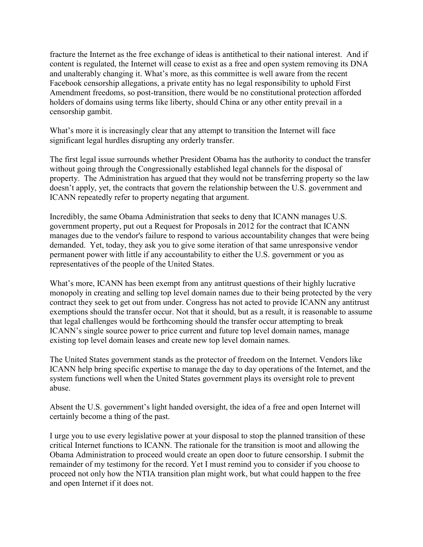fracture the Internet as the free exchange of ideas is antithetical to their national interest. And if content is regulated, the Internet will cease to exist as a free and open system removing its DNA and unalterably changing it. What's more, as this committee is well aware from the recent Facebook censorship allegations, a private entity has no legal responsibility to uphold First Amendment freedoms, so post-transition, there would be no constitutional protection afforded holders of domains using terms like liberty, should China or any other entity prevail in a censorship gambit.

What's more it is increasingly clear that any attempt to transition the Internet will face significant legal hurdles disrupting any orderly transfer.

The first legal issue surrounds whether President Obama has the authority to conduct the transfer without going through the Congressionally established legal channels for the disposal of property. The Administration has argued that they would not be transferring property so the law doesn't apply, yet, the contracts that govern the relationship between the U.S. government and ICANN repeatedly refer to property negating that argument.

Incredibly, the same Obama Administration that seeks to deny that ICANN manages U.S. government property, put out a Request for Proposals in 2012 for the contract that ICANN manages due to the vendor's failure to respond to various accountability changes that were being demanded. Yet, today, they ask you to give some iteration of that same unresponsive vendor permanent power with little if any accountability to either the U.S. government or you as representatives of the people of the United States.

What's more, ICANN has been exempt from any antitrust questions of their highly lucrative monopoly in creating and selling top level domain names due to their being protected by the very contract they seek to get out from under. Congress has not acted to provide ICANN any antitrust exemptions should the transfer occur. Not that it should, but as a result, it is reasonable to assume that legal challenges would be forthcoming should the transfer occur attempting to break ICANN's single source power to price current and future top level domain names, manage existing top level domain leases and create new top level domain names.

The United States government stands as the protector of freedom on the Internet. Vendors like ICANN help bring specific expertise to manage the day to day operations of the Internet, and the system functions well when the United States government plays its oversight role to prevent abuse.

Absent the U.S. government's light handed oversight, the idea of a free and open Internet will certainly become a thing of the past.

I urge you to use every legislative power at your disposal to stop the planned transition of these critical Internet functions to ICANN. The rationale for the transition is moot and allowing the Obama Administration to proceed would create an open door to future censorship. I submit the remainder of my testimony for the record. Yet I must remind you to consider if you choose to proceed not only how the NTIA transition plan might work, but what could happen to the free and open Internet if it does not.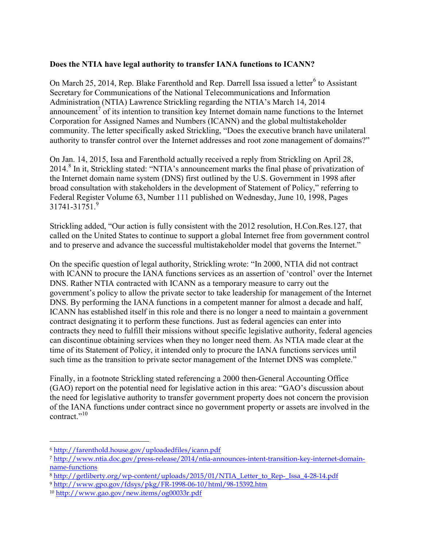#### Does the NTIA have legal authority to transfer IANA functions to ICANN?

On March 25, 2014, Rep. Blake Farenthold and Rep. Darrell Issa issued a letter $^6$  to Assistant Secretary for Communications of the National Telecommunications and Information Administration (NTIA) Lawrence Strickling regarding the NTIA's March 14, 2014 announcement<sup>7</sup> of its intention to transition key Internet domain name functions to the Internet Corporation for Assigned Names and Numbers (ICANN) and the global multistakeholder community. The letter specifically asked Strickling, "Does the executive branch have unilateral authority to transfer control over the Internet addresses and root zone management of domains?"

On Jan. 14, 2015, Issa and Farenthold actually received a reply from Strickling on April 28, 2014.<sup>8</sup> In it, Strickling stated: "NTIA's announcement marks the final phase of privatization of the Internet domain name system (DNS) first outlined by the U.S. Government in 1998 after broad consultation with stakeholders in the development of Statement of Policy," referring to Federal Register Volume 63, Number 111 published on Wednesday, June 10, 1998, Pages 31741-31751.<sup>9</sup>

Strickling added, "Our action is fully consistent with the 2012 resolution, H.Con.Res.127, that called on the United States to continue to support a global Internet free from government control and to preserve and advance the successful multistakeholder model that governs the Internet."

On the specific question of legal authority, Strickling wrote: "In 2000, NTIA did not contract with ICANN to procure the IANA functions services as an assertion of 'control' over the Internet DNS. Rather NTIA contracted with ICANN as a temporary measure to carry out the government's policy to allow the private sector to take leadership for management of the Internet DNS. By performing the IANA functions in a competent manner for almost a decade and half, ICANN has established itself in this role and there is no longer a need to maintain a government contract designating it to perform these functions. Just as federal agencies can enter into contracts they need to fulfill their missions without specific legislative authority, federal agencies can discontinue obtaining services when they no longer need them. As NTIA made clear at the time of its Statement of Policy, it intended only to procure the IANA functions services until such time as the transition to private sector management of the Internet DNS was complete."

Finally, in a footnote Strickling stated referencing a 2000 then-General Accounting Office (GAO) report on the potential need for legislative action in this area: "GAO's discussion about the need for legislative authority to transfer government property does not concern the provision of the IANA functions under contract since no government property or assets are involved in the contract."<sup>10</sup>

<sup>6</sup> http://farenthold.house.gov/uploadedfiles/icann.pdf

<sup>7</sup> http://www.ntia.doc.gov/press-release/2014/ntia-announces-intent-transition-key-internet-domainname-functions

<sup>8</sup> http://getliberty.org/wp-content/uploads/2015/01/NTIA\_Letter\_to\_Rep-\_Issa\_4-28-14.pdf

<sup>9</sup> http://www.gpo.gov/fdsys/pkg/FR-1998-06-10/html/98-15392.htm

<sup>10</sup> http://www.gao.gov/new.items/og00033r.pdf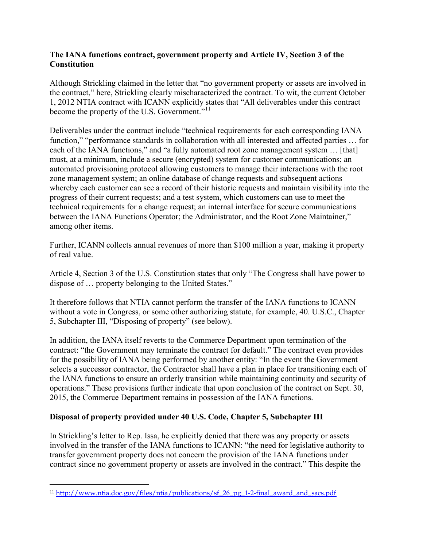#### The IANA functions contract, government property and Article IV, Section 3 of the **Constitution**

Although Strickling claimed in the letter that "no government property or assets are involved in the contract," here, Strickling clearly mischaracterized the contract. To wit, the current October 1, 2012 NTIA contract with ICANN explicitly states that "All deliverables under this contract become the property of the U.S. Government."<sup>11</sup>

Deliverables under the contract include "technical requirements for each corresponding IANA function," "performance standards in collaboration with all interested and affected parties … for each of the IANA functions," and "a fully automated root zone management system ... [that] must, at a minimum, include a secure (encrypted) system for customer communications; an automated provisioning protocol allowing customers to manage their interactions with the root zone management system; an online database of change requests and subsequent actions whereby each customer can see a record of their historic requests and maintain visibility into the progress of their current requests; and a test system, which customers can use to meet the technical requirements for a change request; an internal interface for secure communications between the IANA Functions Operator; the Administrator, and the Root Zone Maintainer," among other items.

Further, ICANN collects annual revenues of more than \$100 million a year, making it property of real value.

Article 4, Section 3 of the U.S. Constitution states that only "The Congress shall have power to dispose of … property belonging to the United States."

It therefore follows that NTIA cannot perform the transfer of the IANA functions to ICANN without a vote in Congress, or some other authorizing statute, for example, 40. U.S.C., Chapter 5, Subchapter III, "Disposing of property" (see below).

In addition, the IANA itself reverts to the Commerce Department upon termination of the contract: "the Government may terminate the contract for default." The contract even provides for the possibility of IANA being performed by another entity: "In the event the Government selects a successor contractor, the Contractor shall have a plan in place for transitioning each of the IANA functions to ensure an orderly transition while maintaining continuity and security of operations." These provisions further indicate that upon conclusion of the contract on Sept. 30, 2015, the Commerce Department remains in possession of the IANA functions.

### Disposal of property provided under 40 U.S. Code, Chapter 5, Subchapter III

In Strickling's letter to Rep. Issa, he explicitly denied that there was any property or assets involved in the transfer of the IANA functions to ICANN: "the need for legislative authority to transfer government property does not concern the provision of the IANA functions under contract since no government property or assets are involved in the contract." This despite the

<sup>11</sup> http://www.ntia.doc.gov/files/ntia/publications/sf\_26\_pg\_1-2-final\_award\_and\_sacs.pdf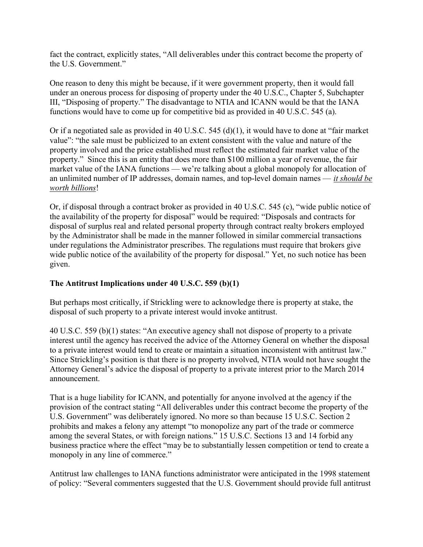fact the contract, explicitly states, "All deliverables under this contract become the property of the U.S. Government."

One reason to deny this might be because, if it were government property, then it would fall under an onerous process for disposing of property under the 40 U.S.C., Chapter 5, Subchapter III, "Disposing of property." The disadvantage to NTIA and ICANN would be that the IANA functions would have to come up for competitive bid as provided in 40 U.S.C. 545 (a).

Or if a negotiated sale as provided in 40 U.S.C. 545 (d)(1), it would have to done at "fair market value": "the sale must be publicized to an extent consistent with the value and nature of the property involved and the price established must reflect the estimated fair market value of the property." Since this is an entity that does more than \$100 million a year of revenue, the fair market value of the IANA functions — we're talking about a global monopoly for allocation of an unlimited number of IP addresses, domain names, and top-level domain names  $-$  it should be worth billions!

Or, if disposal through a contract broker as provided in 40 U.S.C. 545 (c), "wide public notice of the availability of the property for disposal" would be required: "Disposals and contracts for disposal of surplus real and related personal property through contract realty brokers employed by the Administrator shall be made in the manner followed in similar commercial transactions under regulations the Administrator prescribes. The regulations must require that brokers give wide public notice of the availability of the property for disposal." Yet, no such notice has been given.

### The Antitrust Implications under 40 U.S.C. 559 (b)(1)

But perhaps most critically, if Strickling were to acknowledge there is property at stake, the disposal of such property to a private interest would invoke antitrust.

40 U.S.C. 559 (b)(1) states: "An executive agency shall not dispose of property to a private interest until the agency has received the advice of the Attorney General on whether the disposal to a private interest would tend to create or maintain a situation inconsistent with antitrust law." Since Strickling's position is that there is no property involved, NTIA would not have sought the Attorney General's advice the disposal of property to a private interest prior to the March 2014 announcement.

That is a huge liability for ICANN, and potentially for anyone involved at the agency if the provision of the contract stating "All deliverables under this contract become the property of the U.S. Government" was deliberately ignored. No more so than because 15 U.S.C. Section 2 prohibits and makes a felony any attempt "to monopolize any part of the trade or commerce among the several States, or with foreign nations." 15 U.S.C. Sections 13 and 14 forbid any business practice where the effect "may be to substantially lessen competition or tend to create a monopoly in any line of commerce."

Antitrust law challenges to IANA functions administrator were anticipated in the 1998 statement of policy: "Several commenters suggested that the U.S. Government should provide full antitrust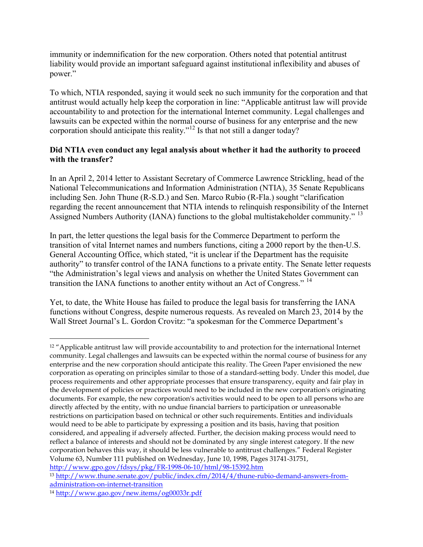immunity or indemnification for the new corporation. Others noted that potential antitrust liability would provide an important safeguard against institutional inflexibility and abuses of power."

To which, NTIA responded, saying it would seek no such immunity for the corporation and that antitrust would actually help keep the corporation in line: "Applicable antitrust law will provide accountability to and protection for the international Internet community. Legal challenges and lawsuits can be expected within the normal course of business for any enterprise and the new corporation should anticipate this reality."<sup>12</sup> Is that not still a danger today?

### Did NTIA even conduct any legal analysis about whether it had the authority to proceed with the transfer?

In an April 2, 2014 letter to Assistant Secretary of Commerce Lawrence Strickling, head of the National Telecommunications and Information Administration (NTIA), 35 Senate Republicans including Sen. John Thune (R-S.D.) and Sen. Marco Rubio (R-Fla.) sought "clarification regarding the recent announcement that NTIA intends to relinquish responsibility of the Internet Assigned Numbers Authority (IANA) functions to the global multistakeholder community."<sup>13</sup>

In part, the letter questions the legal basis for the Commerce Department to perform the transition of vital Internet names and numbers functions, citing a 2000 report by the then-U.S. General Accounting Office, which stated, "it is unclear if the Department has the requisite authority" to transfer control of the IANA functions to a private entity. The Senate letter requests "the Administration's legal views and analysis on whether the United States Government can transition the IANA functions to another entity without an Act of Congress."<sup>14</sup>

Yet, to date, the White House has failed to produce the legal basis for transferring the IANA functions without Congress, despite numerous requests. As revealed on March 23, 2014 by the Wall Street Journal's L. Gordon Crovitz: "a spokesman for the Commerce Department's

<sup>12</sup> "Applicable antitrust law will provide accountability to and protection for the international Internet community. Legal challenges and lawsuits can be expected within the normal course of business for any enterprise and the new corporation should anticipate this reality. The Green Paper envisioned the new corporation as operating on principles similar to those of a standard-setting body. Under this model, due process requirements and other appropriate processes that ensure transparency, equity and fair play in the development of policies or practices would need to be included in the new corporation's originating documents. For example, the new corporation's activities would need to be open to all persons who are directly affected by the entity, with no undue financial barriers to participation or unreasonable restrictions on participation based on technical or other such requirements. Entities and individuals would need to be able to participate by expressing a position and its basis, having that position considered, and appealing if adversely affected. Further, the decision making process would need to reflect a balance of interests and should not be dominated by any single interest category. If the new corporation behaves this way, it should be less vulnerable to antitrust challenges." Federal Register Volume 63, Number 111 published on Wednesday, June 10, 1998, Pages 31741-31751, http://www.gpo.gov/fdsys/pkg/FR-1998-06-10/html/98-15392.htm

<sup>13</sup> http://www.thune.senate.gov/public/index.cfm/2014/4/thune-rubio-demand-answers-fromadministration-on-internet-transition

<sup>14</sup> http://www.gao.gov/new.items/og00033r.pdf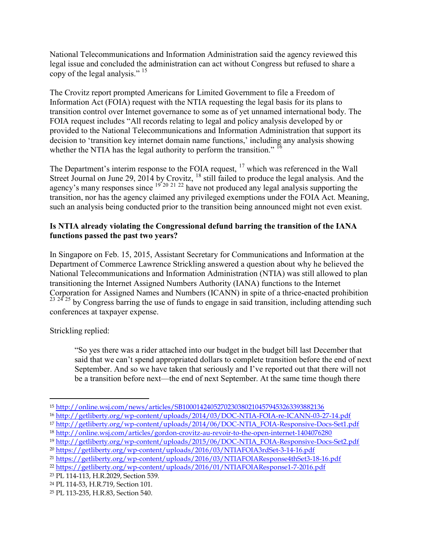National Telecommunications and Information Administration said the agency reviewed this legal issue and concluded the administration can act without Congress but refused to share a copy of the legal analysis." <sup>15</sup>

The Crovitz report prompted Americans for Limited Government to file a Freedom of Information Act (FOIA) request with the NTIA requesting the legal basis for its plans to transition control over Internet governance to some as of yet unnamed international body. The FOIA request includes "All records relating to legal and policy analysis developed by or provided to the National Telecommunications and Information Administration that support its decision to 'transition key internet domain name functions,' including any analysis showing whether the NTIA has the legal authority to perform the transition." <sup>16</sup>

The Department's interim response to the FOIA request, <sup>17</sup> which was referenced in the Wall Street Journal on June 29, 2014 by Crovitz,  $^{18}$  still failed to produce the legal analysis. And the agency's many responses since  $19^{20}$   $21^{22}$  have not produced any legal analysis supporting the transition, nor has the agency claimed any privileged exemptions under the FOIA Act. Meaning, such an analysis being conducted prior to the transition being announced might not even exist.

## Is NTIA already violating the Congressional defund barring the transition of the IANA functions passed the past two years?

In Singapore on Feb. 15, 2015, Assistant Secretary for Communications and Information at the Department of Commerce Lawrence Strickling answered a question about why he believed the National Telecommunications and Information Administration (NTIA) was still allowed to plan transitioning the Internet Assigned Numbers Authority (IANA) functions to the Internet Corporation for Assigned Names and Numbers (ICANN) in spite of a thrice-enacted prohibition  $23^{24}$  25 by Congress barring the use of funds to engage in said transition, including attending such conferences at taxpayer expense.

Strickling replied:

 $\overline{a}$ 

"So yes there was a rider attached into our budget in the budget bill last December that said that we can't spend appropriated dollars to complete transition before the end of next September. And so we have taken that seriously and I've reported out that there will not be a transition before next—the end of next September. At the same time though there

<sup>15</sup> http://online.wsj.com/news/articles/SB10001424052702303802104579453263393882136

<sup>16</sup> http://getliberty.org/wp-content/uploads/2014/03/DOC-NTIA-FOIA-re-ICANN-03-27-14.pdf

<sup>17</sup> http://getliberty.org/wp-content/uploads/2014/06/DOC-NTIA\_FOIA-Responsive-Docs-Set1.pdf

<sup>18</sup> http://online.wsj.com/articles/gordon-crovitz-au-revoir-to-the-open-internet-1404076280

<sup>19</sup> http://getliberty.org/wp-content/uploads/2015/06/DOC-NTIA\_FOIA-Responsive-Docs-Set2.pdf

<sup>20</sup> https://getliberty.org/wp-content/uploads/2016/03/NTIAFOIA3rdSet-3-14-16.pdf

<sup>21</sup> https://getliberty.org/wp-content/uploads/2016/03/NTIAFOIAResponse4thSet3-18-16.pdf

<sup>22</sup> https://getliberty.org/wp-content/uploads/2016/01/NTIAFOIAResponse1-7-2016.pdf

<sup>23</sup> PL 114-113, H.R.2029, Section 539.

<sup>24</sup> PL 114-53, H.R.719, Section 101.

<sup>25</sup> PL 113-235, H.R.83, Section 540.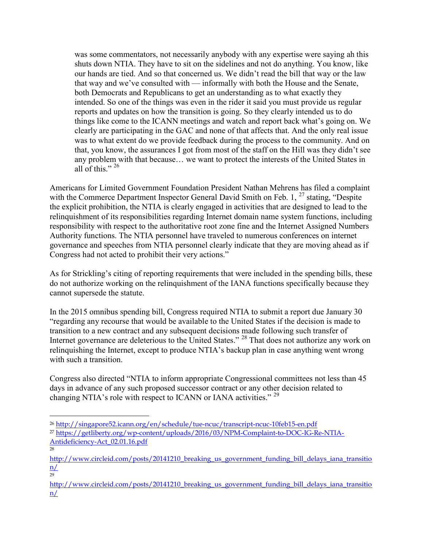was some commentators, not necessarily anybody with any expertise were saying ah this shuts down NTIA. They have to sit on the sidelines and not do anything. You know, like our hands are tied. And so that concerned us. We didn't read the bill that way or the law that way and we've consulted with — informally with both the House and the Senate, both Democrats and Republicans to get an understanding as to what exactly they intended. So one of the things was even in the rider it said you must provide us regular reports and updates on how the transition is going. So they clearly intended us to do things like come to the ICANN meetings and watch and report back what's going on. We clearly are participating in the GAC and none of that affects that. And the only real issue was to what extent do we provide feedback during the process to the community. And on that, you know, the assurances I got from most of the staff on the Hill was they didn't see any problem with that because… we want to protect the interests of the United States in all of this."  $^{26}$ 

Americans for Limited Government Foundation President Nathan Mehrens has filed a complaint with the Commerce Department Inspector General David Smith on Feb. 1,  $^{27}$  stating, "Despite the explicit prohibition, the NTIA is clearly engaged in activities that are designed to lead to the relinquishment of its responsibilities regarding Internet domain name system functions, including responsibility with respect to the authoritative root zone fine and the Internet Assigned Numbers Authority functions. The NTIA personnel have traveled to numerous conferences on internet governance and speeches from NTIA personnel clearly indicate that they are moving ahead as if Congress had not acted to prohibit their very actions."

As for Strickling's citing of reporting requirements that were included in the spending bills, these do not authorize working on the relinquishment of the IANA functions specifically because they cannot supersede the statute.

In the 2015 omnibus spending bill, Congress required NTIA to submit a report due January 30 "regarding any recourse that would be available to the United States if the decision is made to transition to a new contract and any subsequent decisions made following such transfer of Internet governance are deleterious to the United States." <sup>28</sup> That does not authorize any work on relinquishing the Internet, except to produce NTIA's backup plan in case anything went wrong with such a transition.

Congress also directed "NTIA to inform appropriate Congressional committees not less than 45 days in advance of any such proposed successor contract or any other decision related to changing NTIA's role with respect to ICANN or IANA activities."<sup>29</sup>

28

<sup>26</sup> http://singapore52.icann.org/en/schedule/tue-ncuc/transcript-ncuc-10feb15-en.pdf

<sup>27</sup> https://getliberty.org/wp-content/uploads/2016/03/NPM-Complaint-to-DOC-IG-Re-NTIA-Antideficiency-Act\_02.01.16.pdf

http://www.circleid.com/posts/20141210\_breaking\_us\_government\_funding\_bill\_delays\_iana\_transitio  $\underline{n}$ 29

http://www.circleid.com/posts/20141210\_breaking\_us\_government\_funding\_bill\_delays\_iana\_transitio  $\underline{\mathbf{n}}$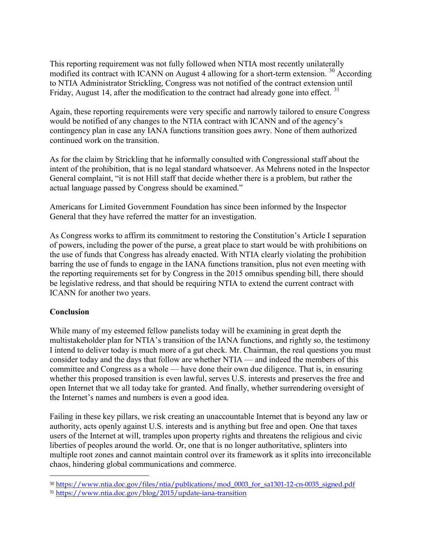This reporting requirement was not fully followed when NTIA most recently unilaterally modified its contract with ICANN on August 4 allowing for a short-term extension.<sup>30</sup> According to NTIA Administrator Strickling, Congress was not notified of the contract extension until Friday, August 14, after the modification to the contract had already gone into effect.  $31$ 

Again, these reporting requirements were very specific and narrowly tailored to ensure Congress would be notified of any changes to the NTIA contract with ICANN and of the agency's contingency plan in case any IANA functions transition goes awry. None of them authorized continued work on the transition.

As for the claim by Strickling that he informally consulted with Congressional staff about the intent of the prohibition, that is no legal standard whatsoever. As Mehrens noted in the Inspector General complaint, "it is not Hill staff that decide whether there is a problem, but rather the actual language passed by Congress should be examined."

Americans for Limited Government Foundation has since been informed by the Inspector General that they have referred the matter for an investigation.

As Congress works to affirm its commitment to restoring the Constitution's Article I separation of powers, including the power of the purse, a great place to start would be with prohibitions on the use of funds that Congress has already enacted. With NTIA clearly violating the prohibition barring the use of funds to engage in the IANA functions transition, plus not even meeting with the reporting requirements set for by Congress in the 2015 omnibus spending bill, there should be legislative redress, and that should be requiring NTIA to extend the current contract with ICANN for another two years.

### Conclusion

 $\overline{a}$ 

While many of my esteemed fellow panelists today will be examining in great depth the multistakeholder plan for NTIA's transition of the IANA functions, and rightly so, the testimony I intend to deliver today is much more of a gut check. Mr. Chairman, the real questions you must consider today and the days that follow are whether NTIA — and indeed the members of this committee and Congress as a whole — have done their own due diligence. That is, in ensuring whether this proposed transition is even lawful, serves U.S. interests and preserves the free and open Internet that we all today take for granted. And finally, whether surrendering oversight of the Internet's names and numbers is even a good idea.

Failing in these key pillars, we risk creating an unaccountable Internet that is beyond any law or authority, acts openly against U.S. interests and is anything but free and open. One that taxes users of the Internet at will, tramples upon property rights and threatens the religious and civic liberties of peoples around the world. Or, one that is no longer authoritative, splinters into multiple root zones and cannot maintain control over its framework as it splits into irreconcilable chaos, hindering global communications and commerce.

<sup>30</sup> https://www.ntia.doc.gov/files/ntia/publications/mod\_0003\_for\_sa1301-12-cn-0035\_signed.pdf

<sup>31</sup> https://www.ntia.doc.gov/blog/2015/update-iana-transition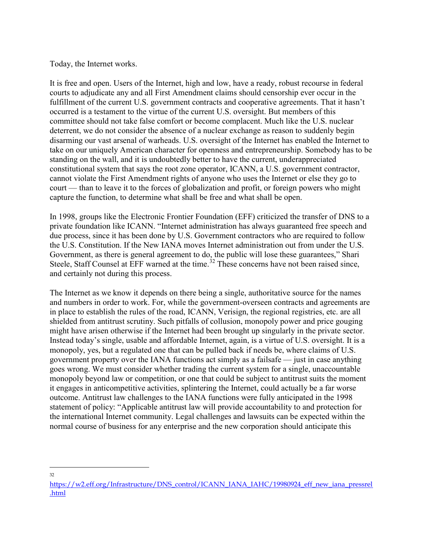Today, the Internet works.

It is free and open. Users of the Internet, high and low, have a ready, robust recourse in federal courts to adjudicate any and all First Amendment claims should censorship ever occur in the fulfillment of the current U.S. government contracts and cooperative agreements. That it hasn't occurred is a testament to the virtue of the current U.S. oversight. But members of this committee should not take false comfort or become complacent. Much like the U.S. nuclear deterrent, we do not consider the absence of a nuclear exchange as reason to suddenly begin disarming our vast arsenal of warheads. U.S. oversight of the Internet has enabled the Internet to take on our uniquely American character for openness and entrepreneurship. Somebody has to be standing on the wall, and it is undoubtedly better to have the current, underappreciated constitutional system that says the root zone operator, ICANN, a U.S. government contractor, cannot violate the First Amendment rights of anyone who uses the Internet or else they go to court — than to leave it to the forces of globalization and profit, or foreign powers who might capture the function, to determine what shall be free and what shall be open.

In 1998, groups like the Electronic Frontier Foundation (EFF) criticized the transfer of DNS to a private foundation like ICANN. "Internet administration has always guaranteed free speech and due process, since it has been done by U.S. Government contractors who are required to follow the U.S. Constitution. If the New IANA moves Internet administration out from under the U.S. Government, as there is general agreement to do, the public will lose these guarantees," Shari Steele, Staff Counsel at EFF warned at the time.<sup>32</sup> These concerns have not been raised since, and certainly not during this process.

The Internet as we know it depends on there being a single, authoritative source for the names and numbers in order to work. For, while the government-overseen contracts and agreements are in place to establish the rules of the road, ICANN, Verisign, the regional registries, etc. are all shielded from antitrust scrutiny. Such pitfalls of collusion, monopoly power and price gouging might have arisen otherwise if the Internet had been brought up singularly in the private sector. Instead today's single, usable and affordable Internet, again, is a virtue of U.S. oversight. It is a monopoly, yes, but a regulated one that can be pulled back if needs be, where claims of U.S. government property over the IANA functions act simply as a failsafe — just in case anything goes wrong. We must consider whether trading the current system for a single, unaccountable monopoly beyond law or competition, or one that could be subject to antitrust suits the moment it engages in anticompetitive activities, splintering the Internet, could actually be a far worse outcome. Antitrust law challenges to the IANA functions were fully anticipated in the 1998 statement of policy: "Applicable antitrust law will provide accountability to and protection for the international Internet community. Legal challenges and lawsuits can be expected within the normal course of business for any enterprise and the new corporation should anticipate this

 $\overline{a}$ 32

https://w2.eff.org/Infrastructure/DNS\_control/ICANN\_IANA\_IAHC/19980924\_eff\_new\_iana\_pressrel .html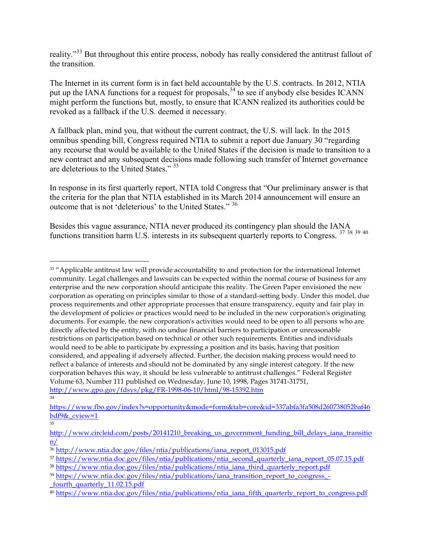reality."<sup>33</sup> But throughout this entire process, nobody has really considered the antitrust fallout of the transition.

The Internet in its current form is in fact held accountable by the U.S. contracts. In 2012, NTIA put up the IANA functions for a request for proposals,  $34$  to see if anybody else besides ICANN might perform the functions but, mostly, to ensure that ICANN realized its authorities could be revoked as a fallback if the U.S. deemed it necessary.

A fallback plan, mind you, that without the current contract, the U.S. will lack. In the 2015 omnibus spending bill, Congress required NTIA to submit a report due January 30 "regarding any recourse that would be available to the United States if the decision is made to transition to a new contract and any subsequent decisions made following such transfer of Internet governance are deleterious to the United States." 35

In response in its first quarterly report, NTIA told Congress that "Our preliminary answer is that the criteria for the plan that NTIA established in its March 2014 announcement will ensure an outcome that is not 'deleterious' to the United States." <sup>36</sup>

Besides this vague assurance, NTIA never produced its contingency plan should the IANA functions transition harm U.S. interests in its subsequent quarterly reports to Congress. 37 38 39 40

35

<sup>&</sup>lt;sup>33</sup> "Applicable antitrust law will provide accountability to and protection for the international Internet community. Legal challenges and lawsuits can be expected within the normal course of business for any enterprise and the new corporation should anticipate this reality. The Green Paper envisioned the new corporation as operating on principles similar to those of a standard-setting body. Under this model, due process requirements and other appropriate processes that ensure transparency, equity and fair play in the development of policies or practices would need to be included in the new corporation's originating documents. For example, the new corporation's activities would need to be open to all persons who are directly affected by the entity, with no undue financial barriers to participation or unreasonable restrictions on participation based on technical or other such requirements. Entities and individuals would need to be able to participate by expressing a position and its basis, having that position considered, and appealing if adversely affected. Further, the decision making process would need to reflect a balance of interests and should not be dominated by any single interest category. If the new corporation behaves this way, it should be less vulnerable to antitrust challenges." Federal Register Volume 63, Number 111 published on Wednesday, June 10, 1998, Pages 31741-31751, http://www.gpo.gov/fdsys/pkg/FR-1998-06-10/html/98-15392.htm

<sup>34</sup>

https://www.fbo.gov/index?s=opportunity&mode=form&tab=core&id=337abfa3fa508d260738052baf46 bdf9&\_cview=1

http://www.circleid.com/posts/20141210\_breaking\_us\_government\_funding\_bill\_delays\_iana\_transitio n/

<sup>36</sup> http://www.ntia.doc.gov/files/ntia/publications/iana\_report\_013015.pdf

<sup>37</sup> https://www.ntia.doc.gov/files/ntia/publications/ntia\_second\_quarterly\_iana\_report\_05.07.15.pdf

<sup>38</sup> https://www.ntia.doc.gov/files/ntia/publications/ntia\_iana\_third\_quarterly\_report.pdf

<sup>39</sup> https://www.ntia.doc.gov/files/ntia/publications/iana\_transition\_report\_to\_congress\_-

\_fourth\_quarterly\_11.02.15.pdf

<sup>40</sup> https://www.ntia.doc.gov/files/ntia/publications/ntia\_iana\_fifth\_quarterly\_report\_to\_congress.pdf